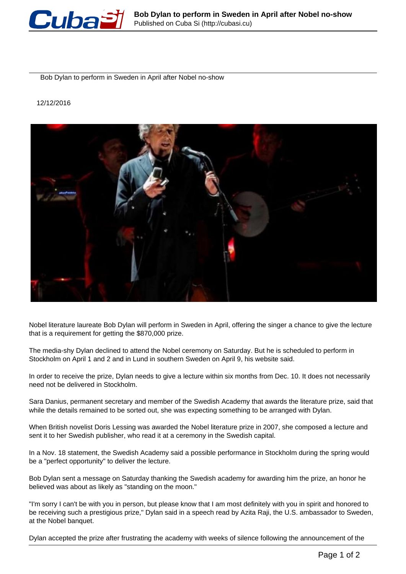

Bob Dylan to perform in Sweden in April after Nobel no-show

12/12/2016



Nobel literature laureate Bob Dylan will perform in Sweden in April, offering the singer a chance to give the lecture that is a requirement for getting the \$870,000 prize.

The media-shy Dylan declined to attend the Nobel ceremony on Saturday. But he is scheduled to perform in Stockholm on April 1 and 2 and in Lund in southern Sweden on April 9, his website said.

In order to receive the prize, Dylan needs to give a lecture within six months from Dec. 10. It does not necessarily need not be delivered in Stockholm.

Sara Danius, permanent secretary and member of the Swedish Academy that awards the literature prize, said that while the details remained to be sorted out, she was expecting something to be arranged with Dylan.

When British novelist Doris Lessing was awarded the Nobel literature prize in 2007, she composed a lecture and sent it to her Swedish publisher, who read it at a ceremony in the Swedish capital.

In a Nov. 18 statement, the Swedish Academy said a possible performance in Stockholm during the spring would be a "perfect opportunity" to deliver the lecture.

Bob Dylan sent a message on Saturday thanking the Swedish academy for awarding him the prize, an honor he believed was about as likely as "standing on the moon."

"I'm sorry I can't be with you in person, but please know that I am most definitely with you in spirit and honored to be receiving such a prestigious prize," Dylan said in a speech read by Azita Raji, the U.S. ambassador to Sweden, at the Nobel banquet.

Dylan accepted the prize after frustrating the academy with weeks of silence following the announcement of the